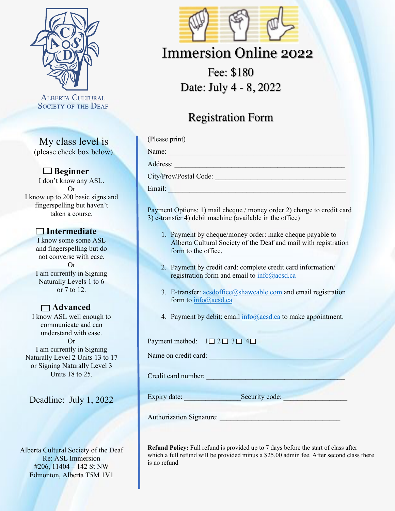

**ALBERTA CULTURAL SOCIETY OF THE DEAF** 

My class level is (please check box below)

#### **Beginner**

I don't know any ASL. Or I know up to 200 basic signs and fingerspelling but haven't taken a course.

### **Intermediate**

I know some some ASL and fingerspelling but do not converse with ease. Or I am currently in Signing Naturally Levels 1 to 6 or 7 to 12.

## **Advanced**

I know ASL well enough to communicate and can understand with ease. Or I am currently in Signing Naturally Level 2 Units 13 to 17 or Signing Naturally Level 3 Units 18 to 25.

Deadline: July 1, 2022

Alberta Cultural Society of the Deaf Re: ASL Immersion #206, 11404 – 142 St NW Edmonton, Alberta T5M 1V1



# Immersion Online 2022

Fee: \$180 Date: July 4 - 8, 2022

# Registration Form

(Please print)

Name:

Address:

City/Prov/Postal Code:

Email: \_\_\_\_\_\_\_\_\_\_\_\_\_\_\_\_\_\_\_\_\_\_\_\_\_\_\_\_\_\_\_\_\_\_\_\_\_\_\_\_\_\_\_\_\_\_\_\_\_\_

Payment Options: 1) mail cheque / money order 2) charge to credit card 3) e-transfer 4) debit machine (available in the office)

- 1. Payment by cheque/money order: make cheque payable to Alberta Cultural Society of the Deaf and mail with registration form to the office.
- 2. Payment by credit card: complete credit card information/ registration form and email to info@acsd.ca
- 3. E-transfer: acsdoffice@shawcable.com and email registration form to info@acsd.ca
- 4. Payment by debit: email  $info@acsd.ca$  to make appointment.

Payment method:  $1 \square 2 \square 3 \square 4 \square$ 

Name on credit card: \_\_\_\_\_\_\_\_\_\_\_\_\_\_\_\_\_\_\_\_\_\_\_\_\_\_\_\_\_\_\_\_\_\_\_\_\_\_

Credit card number: \_\_\_\_\_\_\_\_\_\_\_\_\_\_\_\_\_\_\_\_\_\_\_\_\_\_\_\_\_\_\_\_\_\_\_\_\_\_\_

Expiry date: \_\_\_\_\_\_\_\_\_\_\_\_\_\_\_\_Security code: \_\_\_\_\_\_\_\_\_\_\_\_\_\_\_\_\_\_

Authorization Signature:

**Refund Policy:** Full refund is provided up to 7 days before the start of class after which a full refund will be provided minus a \$25.00 admin fee. After second class there is no refund